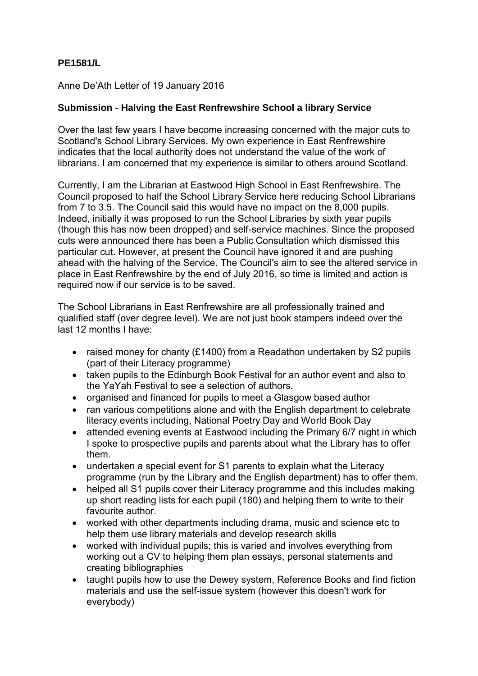## **PE1581/L**

Anne De'Ath Letter of 19 January 2016

## **Submission - Halving the East Renfrewshire School a library Service**

Over the last few years I have become increasing concerned with the major cuts to Scotland's School Library Services. My own experience in East Renfrewshire indicates that the local authority does not understand the value of the work of librarians. I am concerned that my experience is similar to others around Scotland.

Currently, I am the Librarian at Eastwood High School in East Renfrewshire. The Council proposed to half the School Library Service here reducing School Librarians from 7 to 3.5. The Council said this would have no impact on the 8,000 pupils. Indeed, initially it was proposed to run the School Libraries by sixth year pupils (though this has now been dropped) and self-service machines. Since the proposed cuts were announced there has been a Public Consultation which dismissed this particular cut. However, at present the Council have ignored it and are pushing ahead with the halving of the Service. The Council's aim to see the altered service in place in East Renfrewshire by the end of July 2016, so time is limited and action is required now if our service is to be saved.

The School Librarians in East Renfrewshire are all professionally trained and qualified staff (over degree level). We are not just book stampers indeed over the last 12 months I have:

- raised money for charity (£1400) from a Readathon undertaken by S2 pupils (part of their Literacy programme)
- taken pupils to the Edinburgh Book Festival for an author event and also to the YaYah Festival to see a selection of authors.
- organised and financed for pupils to meet a Glasgow based author
- ran various competitions alone and with the English department to celebrate literacy events including, National Poetry Day and World Book Day
- attended evening events at Eastwood including the Primary 6/7 night in which I spoke to prospective pupils and parents about what the Library has to offer them.
- undertaken a special event for S1 parents to explain what the Literacy programme (run by the Library and the English department) has to offer them.
- helped all S1 pupils cover their Literacy programme and this includes making up short reading lists for each pupil (180) and helping them to write to their favourite author.
- worked with other departments including drama, music and science etc to help them use library materials and develop research skills
- worked with individual pupils; this is varied and involves everything from working out a CV to helping them plan essays, personal statements and creating bibliographies
- taught pupils how to use the Dewey system, Reference Books and find fiction materials and use the self-issue system (however this doesn't work for everybody)